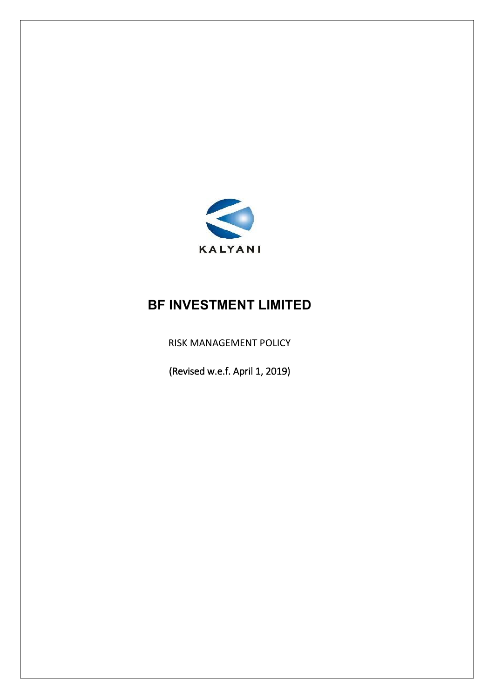

#### **BF INVESTMENT LIMITED**

RISK MANAGEMENT POLICY

(Revised w.e.f. April 1, 2019)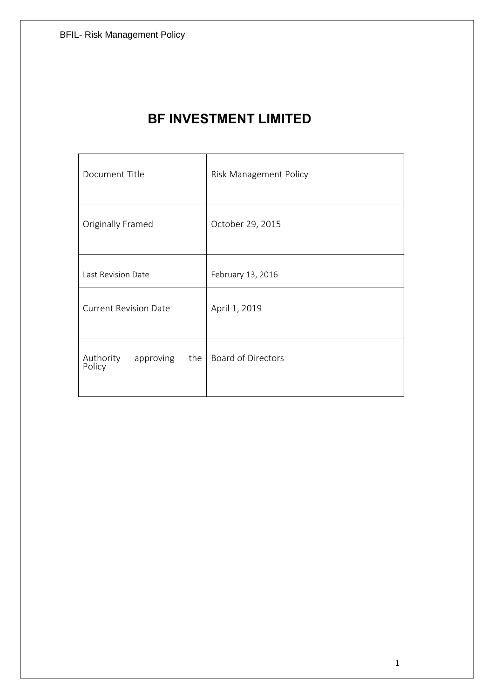| Document Title                   | <b>Risk Management Policy</b> |  |  |
|----------------------------------|-------------------------------|--|--|
| Originally Framed                | October 29, 2015              |  |  |
| Last Revision Date               | February 13, 2016             |  |  |
| <b>Current Revision Date</b>     | April 1, 2019                 |  |  |
| Authority<br>Policy<br>approving | the   Board of Directors      |  |  |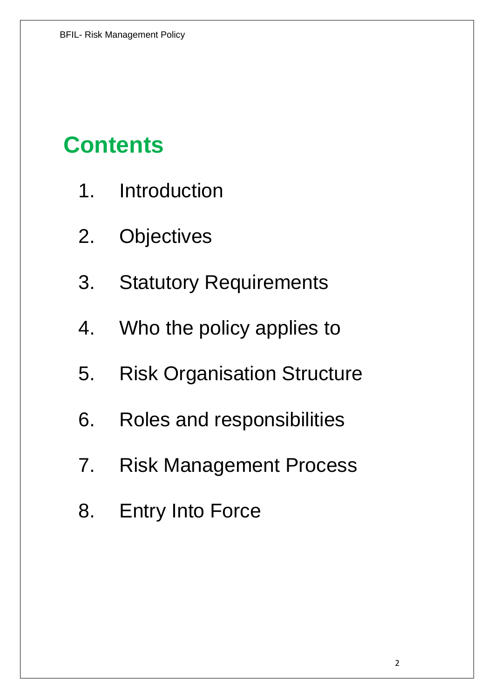### **Contents**

- 1. Introduction
- 2. Objectives
- 3. Statutory Requirements
- 4. Who the policy applies to
- 5. Risk Organisation Structure
- 6. Roles and responsibilities
- 7. Risk Management Process
- 8. Entry Into Force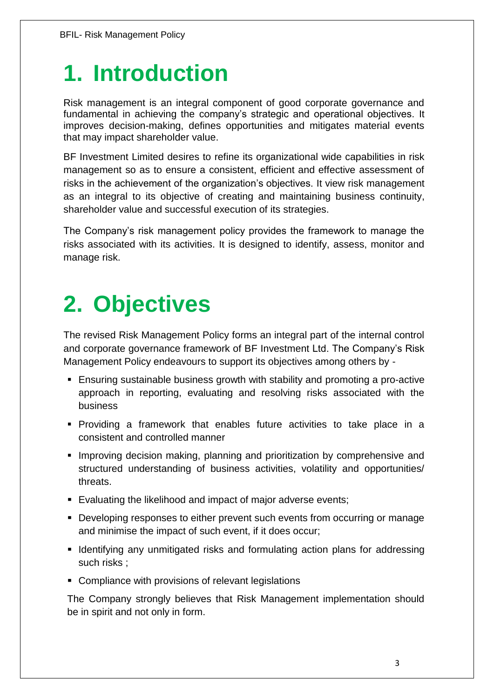## **1. Introduction**

Risk management is an integral component of good corporate governance and fundamental in achieving the company's strategic and operational objectives. It improves decision-making, defines opportunities and mitigates material events that may impact shareholder value.

BF Investment Limited desires to refine its organizational wide capabilities in risk management so as to ensure a consistent, efficient and effective assessment of risks in the achievement of the organization's objectives. It view risk management as an integral to its objective of creating and maintaining business continuity, shareholder value and successful execution of its strategies.

The Company's risk management policy provides the framework to manage the risks associated with its activities. It is designed to identify, assess, monitor and manage risk.

## **2. Objectives**

The revised Risk Management Policy forms an integral part of the internal control and corporate governance framework of BF Investment Ltd. The Company's Risk Management Policy endeavours to support its objectives among others by -

- Ensuring sustainable business growth with stability and promoting a pro-active approach in reporting, evaluating and resolving risks associated with the business
- Providing a framework that enables future activities to take place in a consistent and controlled manner
- **Improving decision making, planning and prioritization by comprehensive and** structured understanding of business activities, volatility and opportunities/ threats.
- Evaluating the likelihood and impact of major adverse events;
- Developing responses to either prevent such events from occurring or manage and minimise the impact of such event, if it does occur;
- **IDENTIFY 11 Identifying any unmitigated risks and formulating action plans for addressing** such risks ;
- **Compliance with provisions of relevant legislations**

The Company strongly believes that Risk Management implementation should be in spirit and not only in form.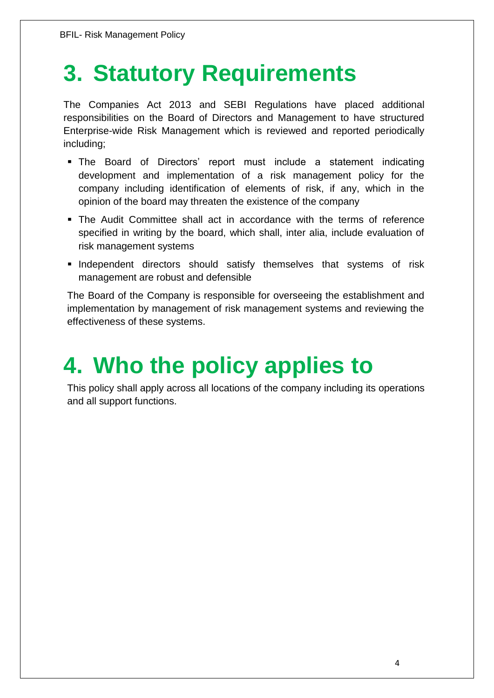## **3. Statutory Requirements**

The Companies Act 2013 and SEBI Regulations have placed additional responsibilities on the Board of Directors and Management to have structured Enterprise-wide Risk Management which is reviewed and reported periodically including;

- The Board of Directors' report must include a statement indicating development and implementation of a risk management policy for the company including identification of elements of risk, if any, which in the opinion of the board may threaten the existence of the company
- The Audit Committee shall act in accordance with the terms of reference specified in writing by the board, which shall, inter alia, include evaluation of risk management systems
- **Independent directors should satisfy themselves that systems of risk** management are robust and defensible

The Board of the Company is responsible for overseeing the establishment and implementation by management of risk management systems and reviewing the effectiveness of these systems.

## **4. Who the policy applies to**

This policy shall apply across all locations of the company including its operations and all support functions.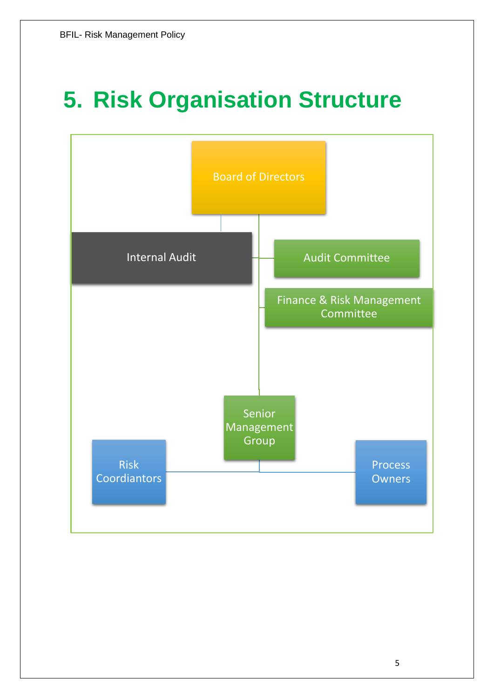## **5. Risk Organisation Structure**

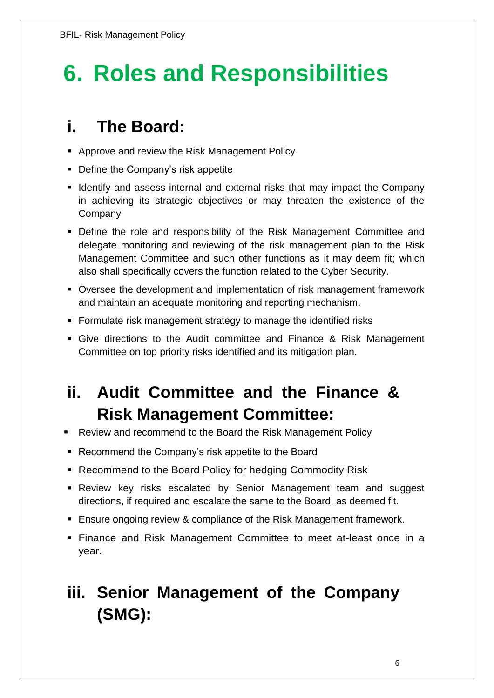# **6. Roles and Responsibilities**

### **i. The Board:**

- **Approve and review the Risk Management Policy**
- Define the Company's risk appetite
- I Identify and assess internal and external risks that may impact the Company in achieving its strategic objectives or may threaten the existence of the **Company**
- Define the role and responsibility of the Risk Management Committee and delegate monitoring and reviewing of the risk management plan to the Risk Management Committee and such other functions as it may deem fit; which also shall specifically covers the function related to the Cyber Security.
- Oversee the development and implementation of risk management framework and maintain an adequate monitoring and reporting mechanism.
- **Formulate risk management strategy to manage the identified risks**
- Give directions to the Audit committee and Finance & Risk Management Committee on top priority risks identified and its mitigation plan.

### **ii. Audit Committee and the Finance & Risk Management Committee:**

- Review and recommend to the Board the Risk Management Policy
- Recommend the Company's risk appetite to the Board
- Recommend to the Board Policy for hedging Commodity Risk
- Review key risks escalated by Senior Management team and suggest directions, if required and escalate the same to the Board, as deemed fit.
- **Ensure ongoing review & compliance of the Risk Management framework.**
- Finance and Risk Management Committee to meet at-least once in a year.

### **iii. Senior Management of the Company (SMG):**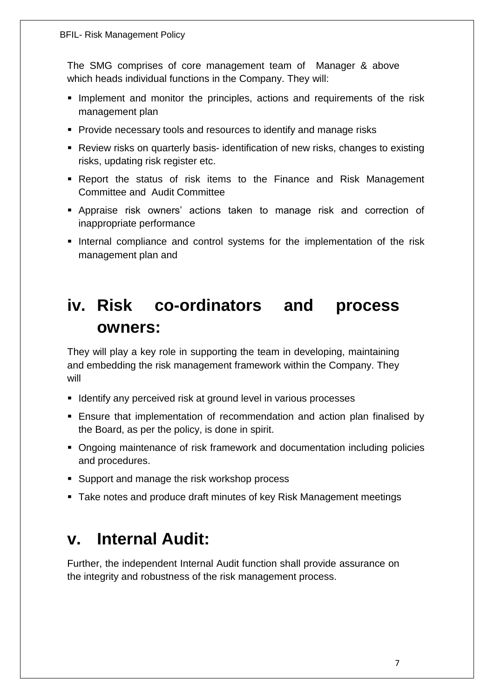The SMG comprises of core management team of Manager & above which heads individual functions in the Company. They will:

- **Implement and monitor the principles, actions and requirements of the risk** management plan
- **Provide necessary tools and resources to identify and manage risks**
- Review risks on quarterly basis- identification of new risks, changes to existing risks, updating risk register etc.
- Report the status of risk items to the Finance and Risk Management Committee and Audit Committee
- Appraise risk owners' actions taken to manage risk and correction of inappropriate performance
- Internal compliance and control systems for the implementation of the risk management plan and

### **iv. Risk co-ordinators and process owners:**

They will play a key role in supporting the team in developing, maintaining and embedding the risk management framework within the Company. They will

- **I** Identify any perceived risk at ground level in various processes
- Ensure that implementation of recommendation and action plan finalised by the Board, as per the policy, is done in spirit.
- Ongoing maintenance of risk framework and documentation including policies and procedures.
- **Support and manage the risk workshop process**
- Take notes and produce draft minutes of key Risk Management meetings

#### **v. Internal Audit:**

Further, the independent Internal Audit function shall provide assurance on the integrity and robustness of the risk management process.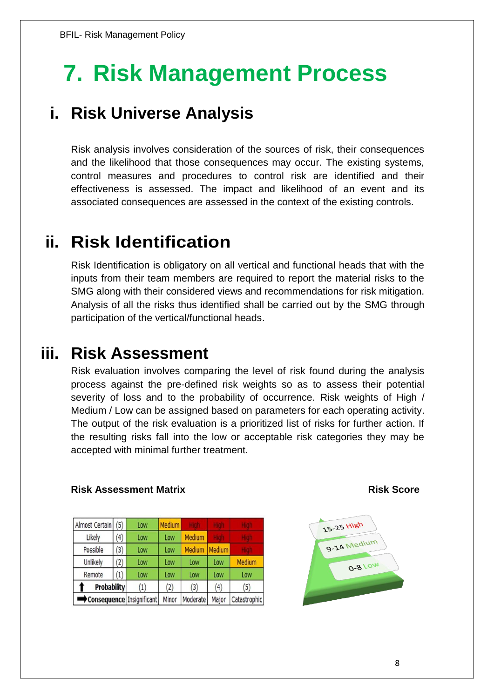## **7. Risk Management Process**

### **i. Risk Universe Analysis**

Risk analysis involves consideration of the sources of risk, their consequences and the likelihood that those consequences may occur. The existing systems, control measures and procedures to control risk are identified and their effectiveness is assessed. The impact and likelihood of an event and its associated consequences are assessed in the context of the existing controls.

### **ii. Risk Identification**

Risk Identification is obligatory on all vertical and functional heads that with the inputs from their team members are required to report the material risks to the SMG along with their considered views and recommendations for risk mitigation. Analysis of all the risks thus identified shall be carried out by the SMG through participation of the vertical/functional heads.

### **iii. Risk Assessment**

Risk evaluation involves comparing the level of risk found during the analysis process against the pre-defined risk weights so as to assess their potential severity of loss and to the probability of occurrence. Risk weights of High / Medium / Low can be assigned based on parameters for each operating activity. The output of the risk evaluation is a prioritized list of risks for further action. If the resulting risks fall into the low or acceptable risk categories they may be accepted with minimal further treatment.

#### **Risk Assessment Matrix Community Community Risk Score**

| Almost Certain     | (5)            | Low                       | <b>Medium</b> |          |               |               |
|--------------------|----------------|---------------------------|---------------|----------|---------------|---------------|
| Likely             | $^{\prime}$ 4) | Low                       | Low           | Medium   |               |               |
| Possible           | (3)            | Low                       | Low           | Medium   | <b>Medium</b> |               |
| Unlikely           | (2)            | Low                       | Low           | Low      | Low           | <b>Medium</b> |
| Remote             | (1)            | Low                       | Low           | Low      | Low           | Low           |
| <b>Probability</b> |                | (1)                       | (2)           | (3)      | (4)           | (5)           |
|                    |                | Consequence Insignificant | Minor         | Moderate | Major         | Catastrophio  |